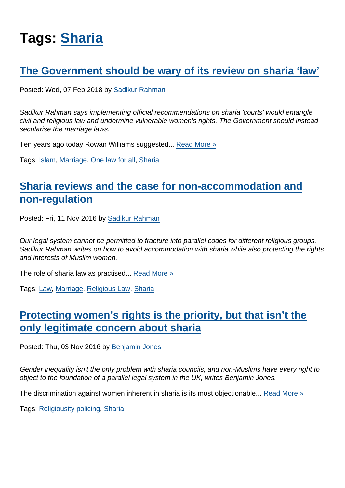# Tags: [Sharia](https://www.secularism.org.uk/opinion/tags/Sharia)

## [The Government should be wary of its review on sharia 'law'](https://www.secularism.org.uk/opinion/2018/02/the-government-should-be-wary-of-its-review-on-sharia-law)

Posted: Wed, 07 Feb 2018 by [Sadikur Rahman](https://www.secularism.org.uk/opinion/authors/857)

Sadikur Rahman says implementing official recommendations on sharia 'courts' would entangle civil and religious law and undermine vulnerable women's rights. The Government should instead secularise the marriage laws.

Ten years ago today Rowan Williams suggested... [Read More »](https://www.secularism.org.uk/opinion/2018/02/the-government-should-be-wary-of-its-review-on-sharia-law)

Tags: [Islam](https://www.secularism.org.uk/opinion/tags/Islam), [Marriage](https://www.secularism.org.uk/opinion/tags/Marriage), [One law for all](https://www.secularism.org.uk/opinion/tags/One+law+for+all), [Sharia](https://www.secularism.org.uk/opinion/tags/Sharia)

# [Sharia reviews and the case for non-accommodation and](https://www.secularism.org.uk/opinion/2016/11/sharia-reviews-and-the-case-for-non-accommodation-and-non-regulation) [non-regulation](https://www.secularism.org.uk/opinion/2016/11/sharia-reviews-and-the-case-for-non-accommodation-and-non-regulation)

Posted: Fri, 11 Nov 2016 by [Sadikur Rahman](https://www.secularism.org.uk/opinion/authors/857)

Our legal system cannot be permitted to fracture into parallel codes for different religious groups. Sadikur Rahman writes on how to avoid accommodation with sharia while also protecting the rights and interests of Muslim women.

The role of sharia law as practised... [Read More »](https://www.secularism.org.uk/opinion/2016/11/sharia-reviews-and-the-case-for-non-accommodation-and-non-regulation)

Tags: [Law](https://www.secularism.org.uk/opinion/tags/Law), [Marriage](https://www.secularism.org.uk/opinion/tags/Marriage), [Religious Law,](https://www.secularism.org.uk/opinion/tags/Religious+Law) [Sharia](https://www.secularism.org.uk/opinion/tags/Sharia)

## [Protecting women's rights is the priority, but that isn't the](https://www.secularism.org.uk/opinion/2016/11/protecting-womens-rights-is-the-priority-but-that-isnt-the-only-legitimate-concern-about-sharia) [only legitimate concern about sharia](https://www.secularism.org.uk/opinion/2016/11/protecting-womens-rights-is-the-priority-but-that-isnt-the-only-legitimate-concern-about-sharia)

Posted: Thu, 03 Nov 2016 by [Benjamin Jones](https://www.secularism.org.uk/opinion/authors/851)

Gender inequality isn't the only problem with sharia councils, and non-Muslims have every right to object to the foundation of a parallel legal system in the UK, writes Benjamin Jones.

The discrimination against women inherent in sharia is its most objectionable... [Read More »](https://www.secularism.org.uk/opinion/2016/11/protecting-womens-rights-is-the-priority-but-that-isnt-the-only-legitimate-concern-about-sharia)

Tags: [Religiousity policing,](https://www.secularism.org.uk/opinion/tags/Religiousity+policing) [Sharia](https://www.secularism.org.uk/opinion/tags/Sharia)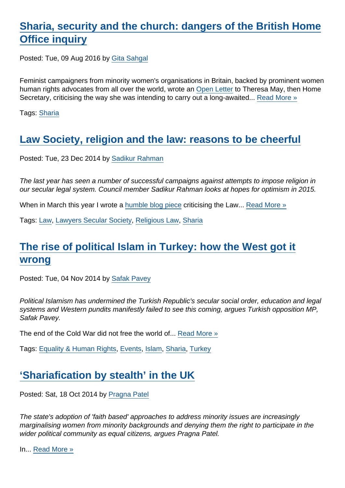## [Sharia, security and the church: dangers of the British Home](https://www.secularism.org.uk/opinion/2016/08/sharia-security-and-the-church-dangers-of-the-british-home-office-inquiry) [Office inquiry](https://www.secularism.org.uk/opinion/2016/08/sharia-security-and-the-church-dangers-of-the-british-home-office-inquiry)

Posted: Tue, 09 Aug 2016 by [Gita Sahgal](https://www.secularism.org.uk/opinion/authors/866)

Feminist campaigners from minority women's organisations in Britain, backed by prominent women human rights advocates from all over the world, wrote an [Open Letter](https://www.opendemocracy.net/pragna-patel-gita-sahgal/whitewashing-sharia-councils-in-uk) to Theresa May, then Home Secretary, criticising the way she was intending to carry out a long-awaited... [Read More »](https://www.secularism.org.uk/opinion/2016/08/sharia-security-and-the-church-dangers-of-the-british-home-office-inquiry)

Tags: [Sharia](https://www.secularism.org.uk/opinion/tags/Sharia)

## [Law Society, religion and the law: reasons to be cheerful](https://www.secularism.org.uk/opinion/2014/12/law-society-religion-and-the-law-reasons-to-be-cheerful)

Posted: Tue, 23 Dec 2014 by [Sadikur Rahman](https://www.secularism.org.uk/opinion/authors/857)

The last year has seen a number of successful campaigns against attempts to impose religion in our secular legal system. Council member Sadikur Rahman looks at hopes for optimism in 2015.

When in March this year I wrote a [humble blog piece](https://lawyerssecularsociety.wordpress.com/2014/03/18/sharia-law-is-well-and-truly-operating-in-the-uk-thanks-to-the-law-society/) criticising the Law... [Read More »](https://www.secularism.org.uk/opinion/2014/12/law-society-religion-and-the-law-reasons-to-be-cheerful)

Tags: [Law](https://www.secularism.org.uk/opinion/tags/Law), [Lawyers Secular Society](https://www.secularism.org.uk/opinion/tags/Lawyers+Secular+Society), [Religious Law,](https://www.secularism.org.uk/opinion/tags/Religious+Law) [Sharia](https://www.secularism.org.uk/opinion/tags/Sharia)

## [The rise of political Islam in Turkey: how the West got it](https://www.secularism.org.uk/opinion/2014/11/the-rise-of-political-islam-in-turkey-how-the-west-got-it-wrong) [wrong](https://www.secularism.org.uk/opinion/2014/11/the-rise-of-political-islam-in-turkey-how-the-west-got-it-wrong)

Posted: Tue, 04 Nov 2014 by [Safak Pavey](https://www.secularism.org.uk/opinion/authors/957)

Political Islamism has undermined the Turkish Republic's secular social order, education and legal systems and Western pundits manifestly failed to see this coming, argues Turkish opposition MP, Safak Pavey.

The end of the Cold War did not free the world of... [Read More »](https://www.secularism.org.uk/opinion/2014/11/the-rise-of-political-islam-in-turkey-how-the-west-got-it-wrong)

Tags: [Equality & Human Rights,](https://www.secularism.org.uk/opinion/tags/Equality+&+Human+Rights) [Events](https://www.secularism.org.uk/opinion/tags/Events), [Islam](https://www.secularism.org.uk/opinion/tags/Islam), [Sharia,](https://www.secularism.org.uk/opinion/tags/Sharia) [Turkey](https://www.secularism.org.uk/opinion/tags/Turkey)

## ['Shariafication by stealth' in the UK](https://www.secularism.org.uk/opinion/2014/10/shariafication-by-stealth-in-the-uk)

Posted: Sat, 18 Oct 2014 by [Pragna Patel](https://www.secularism.org.uk/opinion/authors/949)

The state's adoption of 'faith based' approaches to address minority issues are increasingly marginalising women from minority backgrounds and denying them the right to participate in the wider political community as equal citizens, argues Pragna Patel.

In... [Read More »](https://www.secularism.org.uk/opinion/2014/10/shariafication-by-stealth-in-the-uk)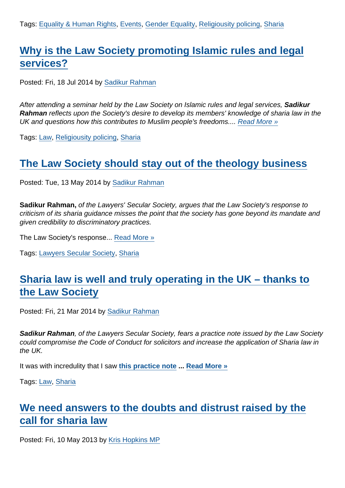# [Why is the Law Society promoting Islamic rules and legal](https://www.secularism.org.uk/opinion/2014/07/why-is-the-law-society-promoting-islamic-rules-and-legal-services) [services?](https://www.secularism.org.uk/opinion/2014/07/why-is-the-law-society-promoting-islamic-rules-and-legal-services)

Posted: Fri, 18 Jul 2014 by [Sadikur Rahman](https://www.secularism.org.uk/opinion/authors/857)

After attending a seminar held by the Law Society on Islamic rules and legal services, Sadikur Rahman reflects upon the Society's desire to develop its members' knowledge of sharia law in the UK and questions how this contributes to Muslim people's freedoms.... [Read More »](https://www.secularism.org.uk/opinion/2014/07/why-is-the-law-society-promoting-islamic-rules-and-legal-services)

Tags: [Law](https://www.secularism.org.uk/opinion/tags/Law), [Religiousity policing](https://www.secularism.org.uk/opinion/tags/Religiousity+policing), [Sharia](https://www.secularism.org.uk/opinion/tags/Sharia)

#### [The Law Society should stay out of the theology business](https://www.secularism.org.uk/opinion/2014/05/the-law-society-should-stay-out-of-the-theology-business)

Posted: Tue, 13 May 2014 by [Sadikur Rahman](https://www.secularism.org.uk/opinion/authors/857)

Sadikur Rahman, of the Lawyers' Secular Society, argues that the Law Society's response to criticism of its sharia guidance misses the point that the society has gone beyond its mandate and given credibility to discriminatory practices.

The Law Society's response... [Read More »](https://www.secularism.org.uk/opinion/2014/05/the-law-society-should-stay-out-of-the-theology-business)

Tags: [Lawyers Secular Society,](https://www.secularism.org.uk/opinion/tags/Lawyers+Secular+Society) [Sharia](https://www.secularism.org.uk/opinion/tags/Sharia)

## [Sharia law is well and truly operating in the UK – thanks to](https://www.secularism.org.uk/opinion/2014/03/sharia-law-is-well-and-truly-operating-in-the-uk-thanks-to-the-law-society) [the Law Society](https://www.secularism.org.uk/opinion/2014/03/sharia-law-is-well-and-truly-operating-in-the-uk-thanks-to-the-law-society)

Posted: Fri, 21 Mar 2014 by [Sadikur Rahman](https://www.secularism.org.uk/opinion/authors/857)

Sadikur Rahman , of the Lawyers Secular Society, fears a practice note issued by the Law Society could compromise the Code of Conduct for solicitors and increase the application of Sharia law in the UK.

It was with incredulity that I saw [this practice note](http://www.lawsociety.org.uk/advice/practice-notes/sharia-succession-rules/) ... [Read More »](https://www.secularism.org.uk/opinion/2014/03/sharia-law-is-well-and-truly-operating-in-the-uk-thanks-to-the-law-society)

Tags: [Law](https://www.secularism.org.uk/opinion/tags/Law), [Sharia](https://www.secularism.org.uk/opinion/tags/Sharia)

#### [We need answers to the doubts and distrust raised by the](https://www.secularism.org.uk/opinion/2013/05/we-need-answers-to-the-doubts-and-distrust-raised-by-call-for-sharia-law) [call for sharia law](https://www.secularism.org.uk/opinion/2013/05/we-need-answers-to-the-doubts-and-distrust-raised-by-call-for-sharia-law)

Posted: Fri, 10 May 2013 by [Kris Hopkins MP](https://www.secularism.org.uk/opinion/authors/929)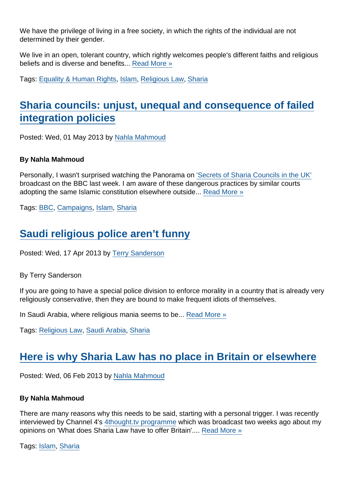We have the privilege of living in a free society, in which the rights of the individual are not determined by their gender.

We live in an open, tolerant country, which rightly welcomes people's different faiths and religious beliefs and is diverse and benefits... [Read More »](https://www.secularism.org.uk/opinion/2013/05/we-need-answers-to-the-doubts-and-distrust-raised-by-call-for-sharia-law)

Tags: [Equality & Human Rights,](https://www.secularism.org.uk/opinion/tags/Equality+&+Human+Rights) [Islam](https://www.secularism.org.uk/opinion/tags/Islam), [Religious Law](https://www.secularism.org.uk/opinion/tags/Religious+Law), [Sharia](https://www.secularism.org.uk/opinion/tags/Sharia)

## [Sharia councils: unjust, unequal and consequence of failed](https://www.secularism.org.uk/opinion/2013/05/sharia-councils-unjust-unequal-and-consequence-of-failed-integration-policies) [integration policies](https://www.secularism.org.uk/opinion/2013/05/sharia-councils-unjust-unequal-and-consequence-of-failed-integration-policies)

Posted: Wed, 01 May 2013 by [Nahla Mahmoud](https://www.secularism.org.uk/opinion/authors/863)

By Nahla Mahmoud

Personally, I wasn't surprised watching the Panorama on ['Secrets of Sharia Councils in the UK'](http://www.youtube.com/watch?v=UTei6JHVziU) broadcast on the BBC last week. I am aware of these dangerous practices by similar courts adopting the same Islamic constitution elsewhere outside... [Read More »](https://www.secularism.org.uk/opinion/2013/05/sharia-councils-unjust-unequal-and-consequence-of-failed-integration-policies)

Tags: [BBC](https://www.secularism.org.uk/opinion/tags/BBC), [Campaigns](https://www.secularism.org.uk/opinion/tags/Campaigns), [Islam,](https://www.secularism.org.uk/opinion/tags/Islam) [Sharia](https://www.secularism.org.uk/opinion/tags/Sharia)

## [Saudi religious police aren't funny](https://www.secularism.org.uk/opinion/2013/04/saudi-religious-police-arent-funny)

Posted: Wed, 17 Apr 2013 by [Terry Sanderson](https://www.secularism.org.uk/opinion/authors/850)

By Terry Sanderson

If you are going to have a special police division to enforce morality in a country that is already very religiously conservative, then they are bound to make frequent idiots of themselves.

In Saudi Arabia, where religious mania seems to be... [Read More »](https://www.secularism.org.uk/opinion/2013/04/saudi-religious-police-arent-funny)

Tags: [Religious Law](https://www.secularism.org.uk/opinion/tags/Religious+Law), [Saudi Arabia](https://www.secularism.org.uk/opinion/tags/Saudi+Arabia), [Sharia](https://www.secularism.org.uk/opinion/tags/Sharia)

## [Here is why Sharia Law has no place in Britain or elsewhere](https://www.secularism.org.uk/opinion/2013/02/here-is-why-sharia-law-has-no-place-in-britain-or-elsewhere)

Posted: Wed, 06 Feb 2013 by [Nahla Mahmoud](https://www.secularism.org.uk/opinion/authors/863)

By Nahla Mahmoud

There are many reasons why this needs to be said, starting with a personal trigger. I was recently interviewed by Channel 4's [4thought.tv programme](http://www.4thought.tv/themes/what-does-sharia-law-have-to-offer-britain/nahla-mahmoud?autoplay=true) which was broadcast two weeks ago about my opinions on 'What does Sharia Law have to offer Britain'.... [Read More »](https://www.secularism.org.uk/opinion/2013/02/here-is-why-sharia-law-has-no-place-in-britain-or-elsewhere)

Tags: [Islam](https://www.secularism.org.uk/opinion/tags/Islam), [Sharia](https://www.secularism.org.uk/opinion/tags/Sharia)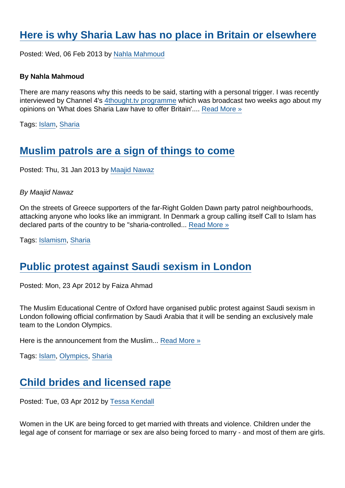### [Here is why Sharia Law has no place in Britain or elsewhere](https://www.secularism.org.uk/opinion/2013/02/here-is-why-sharia-law-has-no-place-in-britain-or-elsewhere1)

Posted: Wed, 06 Feb 2013 by [Nahla Mahmoud](https://www.secularism.org.uk/opinion/authors/863)

By Nahla Mahmoud

There are many reasons why this needs to be said, starting with a personal trigger. I was recently interviewed by Channel 4's [4thought.tv programme](http://www.4thought.tv/themes/what-does-sharia-law-have-to-offer-britain/nahla-mahmoud?autoplay=true) which was broadcast two weeks ago about my opinions on 'What does Sharia Law have to offer Britain'.... [Read More »](https://www.secularism.org.uk/opinion/2013/02/here-is-why-sharia-law-has-no-place-in-britain-or-elsewhere1)

Tags: [Islam](https://www.secularism.org.uk/opinion/tags/Islam), [Sharia](https://www.secularism.org.uk/opinion/tags/Sharia)

#### [Muslim patrols are a sign of things to come](https://www.secularism.org.uk/opinion/2013/01/muslim-patrols-are-a-sign-of-things-to-come)

Posted: Thu, 31 Jan 2013 by [Maajid Nawaz](https://www.secularism.org.uk/opinion/authors/862)

By Maajid Nawaz

On the streets of Greece supporters of the far-Right Golden Dawn party patrol neighbourhoods, attacking anyone who looks like an immigrant. In Denmark a group calling itself Call to Islam has declared parts of the country to be "sharia-controlled... [Read More »](https://www.secularism.org.uk/opinion/2013/01/muslim-patrols-are-a-sign-of-things-to-come)

Tags: [Islamism,](https://www.secularism.org.uk/opinion/tags/Islamism) [Sharia](https://www.secularism.org.uk/opinion/tags/Sharia)

#### [Public protest against Saudi sexism in London](https://www.secularism.org.uk/opinion/2012/04/public-protest-against-saudi-sexism-in-london)

Posted: Mon, 23 Apr 2012 by Faiza Ahmad

The Muslim Educational Centre of Oxford have organised public protest against Saudi sexism in London following official confirmation by Saudi Arabia that it will be sending an exclusively male team to the London Olympics.

Here is the announcement from the Muslim... [Read More »](https://www.secularism.org.uk/opinion/2012/04/public-protest-against-saudi-sexism-in-london)

Tags: [Islam](https://www.secularism.org.uk/opinion/tags/Islam), [Olympics](https://www.secularism.org.uk/opinion/tags/Olympics), [Sharia](https://www.secularism.org.uk/opinion/tags/Sharia)

#### [Child brides and licensed rape](https://www.secularism.org.uk/opinion/2012/04/child-brides-and-licensed-rape)

Posted: Tue, 03 Apr 2012 by [Tessa Kendall](https://www.secularism.org.uk/opinion/authors/869)

Women in the UK are being forced to get married with threats and violence. Children under the legal age of consent for marriage or sex are also being forced to marry - and most of them are girls.